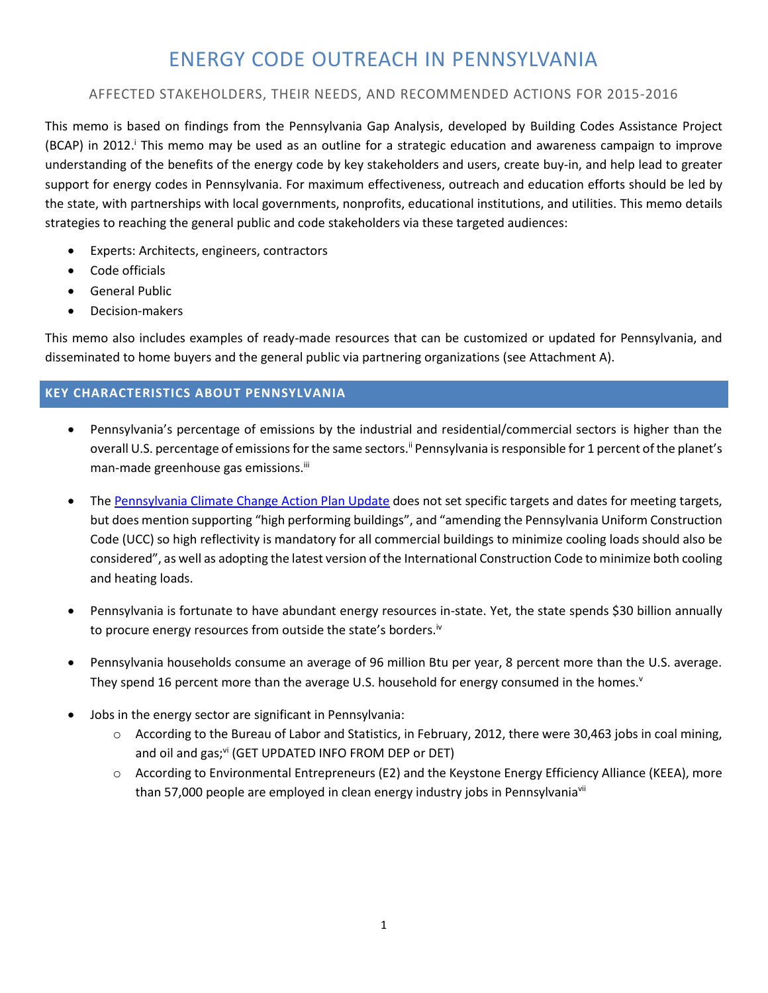# ENERGY CODE OUTREACH IN PENNSYLVANIA

# AFFECTED STAKEHOLDERS, THEIR NEEDS, AND RECOMMENDED ACTIONS FOR 2015-2016

This memo is based on findings from the Pennsylvania Gap Analysis, developed by Building Codes Assistance Project (BCAP) in 2012. <sup>i</sup> This memo may be used as an outline for a strategic education and awareness campaign to improve understanding of the benefits of the energy code by key stakeholders and users, create buy‐in, and help lead to greater support for energy codes in Pennsylvania. For maximum effectiveness, outreach and education efforts should be led by the state, with partnerships with local governments, nonprofits, educational institutions, and utilities. This memo details strategies to reaching the general public and code stakeholders via these targeted audiences:

- Experts: Architects, engineers, contractors
- Code officials
- General Public
- Decision-makers

This memo also includes examples of ready-made resources that can be customized or updated for Pennsylvania, and disseminated to home buyers and the general public via partnering organizations (see Attachment A).

# **KEY CHARACTERISTICS ABOUT PENNSYLVANIA**

- Pennsylvania's percentage of emissions by the industrial and residential/commercial sectors is higher than the overall U.S. percentage of emissions for the same sectors.<sup>ii</sup> Pennsylvania is responsible for 1 percent of the planet's man-made greenhouse gas emissions.<sup>iii</sup>
- The [Pennsylvania Climate Change Action Plan Update](file:///C:/Users/MJE/Downloads/Final_Climate_Change_Action_Plan_Update.pdf) does not set specific targets and dates for meeting targets, but does mention supporting "high performing buildings", and "amending the Pennsylvania Uniform Construction Code (UCC) so high reflectivity is mandatory for all commercial buildings to minimize cooling loads should also be considered", as well as adopting the latest version of the International Construction Code to minimize both cooling and heating loads.
- Pennsylvania is fortunate to have abundant energy resources in-state. Yet, the state spends \$30 billion annually to procure energy resources from outside the state's borders.<sup>iv</sup>
- Pennsylvania households consume an average of 96 million Btu per year, 8 percent more than the U.S. average. They spend 16 percent more than the average U.S. household for energy consumed in the homes. $v$
- Jobs in the energy sector are significant in Pennsylvania:
	- o According to the Bureau of Labor and Statistics, in February, 2012, there were 30,463 jobs in coal mining, and oil and  $gas; v^{\text{ii}}$  (GET UPDATED INFO FROM DEP or DET)
	- o According to Environmental Entrepreneurs (E2) and the Keystone Energy Efficiency Alliance (KEEA), more than 57,000 people are employed in clean energy industry jobs in Pennsylvaniavii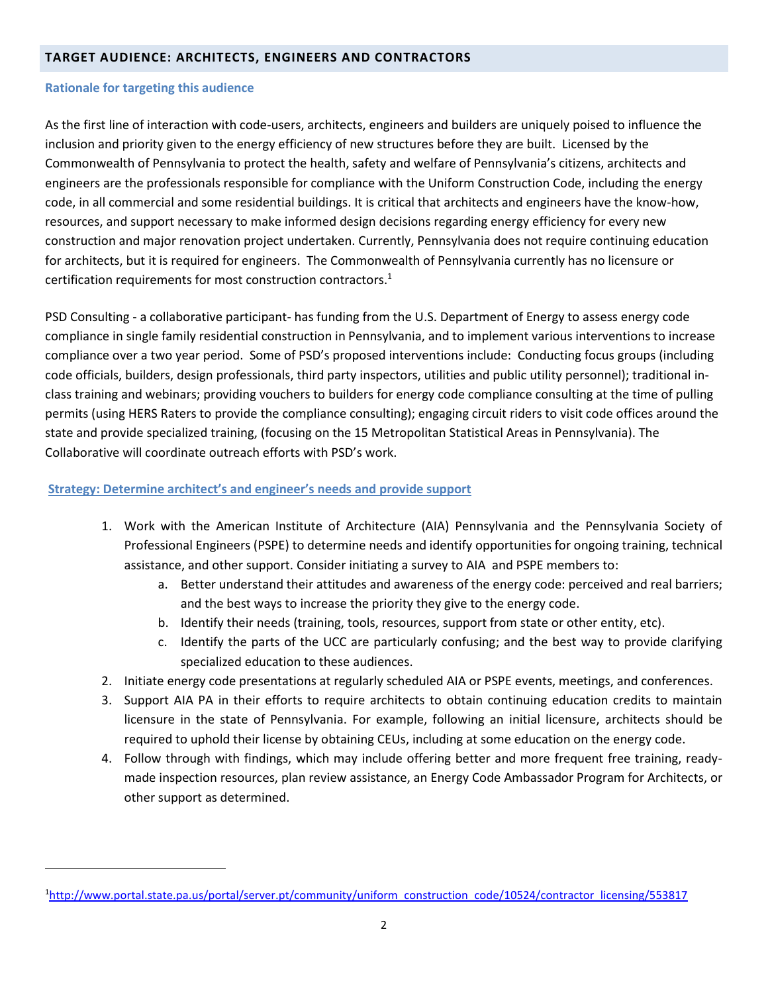#### **TARGET AUDIENCE: ARCHITECTS, ENGINEERS AND CONTRACTORS**

#### **Rationale for targeting this audience**

 $\overline{a}$ 

As the first line of interaction with code-users, architects, engineers and builders are uniquely poised to influence the inclusion and priority given to the energy efficiency of new structures before they are built. Licensed by the Commonwealth of Pennsylvania to protect the health, safety and welfare of Pennsylvania's citizens, architects and engineers are the professionals responsible for compliance with the Uniform Construction Code, including the energy code, in all commercial and some residential buildings. It is critical that architects and engineers have the know-how, resources, and support necessary to make informed design decisions regarding energy efficiency for every new construction and major renovation project undertaken. Currently, Pennsylvania does not require continuing education for architects, but it is required for engineers. The Commonwealth of Pennsylvania currently has no licensure or certification requirements for most construction contractors.<sup>1</sup>

PSD Consulting - a collaborative participant- has funding from the U.S. Department of Energy to assess energy code compliance in single family residential construction in Pennsylvania, and to implement various interventions to increase compliance over a two year period. Some of PSD's proposed interventions include: Conducting focus groups (including code officials, builders, design professionals, third party inspectors, utilities and public utility personnel); traditional inclass training and webinars; providing vouchers to builders for energy code compliance consulting at the time of pulling permits (using HERS Raters to provide the compliance consulting); engaging circuit riders to visit code offices around the state and provide specialized training, (focusing on the 15 Metropolitan Statistical Areas in Pennsylvania). The Collaborative will coordinate outreach efforts with PSD's work.

## **Strategy: Determine architect's and engineer's needs and provide support**

- 1. Work with the American Institute of Architecture (AIA) Pennsylvania and the Pennsylvania Society of Professional Engineers (PSPE) to determine needs and identify opportunities for ongoing training, technical assistance, and other support. Consider initiating a survey to AIA and PSPE members to:
	- a. Better understand their attitudes and awareness of the energy code: perceived and real barriers; and the best ways to increase the priority they give to the energy code.
	- b. Identify their needs (training, tools, resources, support from state or other entity, etc).
	- c. Identify the parts of the UCC are particularly confusing; and the best way to provide clarifying specialized education to these audiences.
- 2. Initiate energy code presentations at regularly scheduled AIA or PSPE events, meetings, and conferences.
- 3. Support AIA PA in their efforts to require architects to obtain continuing education credits to maintain licensure in the state of Pennsylvania. For example, following an initial licensure, architects should be required to uphold their license by obtaining CEUs, including at some education on the energy code.
- 4. Follow through with findings, which may include offering better and more frequent free training, readymade inspection resources, plan review assistance, an Energy Code Ambassador Program for Architects, or other support as determined.

<sup>&</sup>lt;sup>1</sup>[http://www.portal.state.pa.us/portal/server.pt/community/uniform\\_construction\\_code/10524/contractor\\_licensing/553817](http://www.portal.state.pa.us/portal/server.pt/community/uniform_construction_code/10524/contractor_licensing/553817)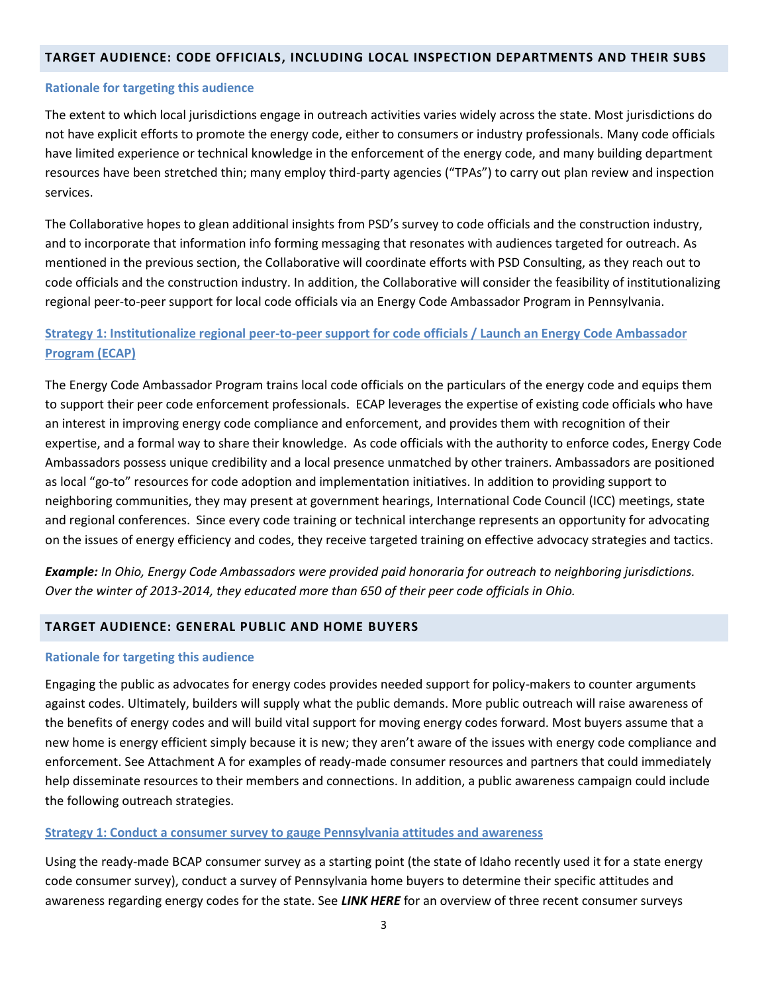#### **TARGET AUDIENCE: CODE OFFICIALS, INCLUDING LOCAL INSPECTION DEPARTMENTS AND THEIR SUBS**

#### **Rationale for targeting this audience**

The extent to which local jurisdictions engage in outreach activities varies widely across the state. Most jurisdictions do not have explicit efforts to promote the energy code, either to consumers or industry professionals. Many code officials have limited experience or technical knowledge in the enforcement of the energy code, and many building department resources have been stretched thin; many employ third-party agencies ("TPAs") to carry out plan review and inspection services.

The Collaborative hopes to glean additional insights from PSD's survey to code officials and the construction industry, and to incorporate that information info forming messaging that resonates with audiences targeted for outreach. As mentioned in the previous section, the Collaborative will coordinate efforts with PSD Consulting, as they reach out to code officials and the construction industry. In addition, the Collaborative will consider the feasibility of institutionalizing regional peer-to-peer support for local code officials via an Energy Code Ambassador Program in Pennsylvania.

# **Strategy 1: Institutionalize regional peer-to-peer support for code officials / Launch an Energy Code Ambassador Program (ECAP)**

The Energy Code Ambassador Program trains local code officials on the particulars of the energy code and equips them to support their peer code enforcement professionals. ECAP leverages the expertise of existing code officials who have an interest in improving energy code compliance and enforcement, and provides them with recognition of their expertise, and a formal way to share their knowledge. As code officials with the authority to enforce codes, Energy Code Ambassadors possess unique credibility and a local presence unmatched by other trainers. Ambassadors are positioned as local "go-to" resources for code adoption and implementation initiatives. In addition to providing support to neighboring communities, they may present at government hearings, International Code Council (ICC) meetings, state and regional conferences. Since every code training or technical interchange represents an opportunity for advocating on the issues of energy efficiency and codes, they receive targeted training on effective advocacy strategies and tactics.

*Example: In Ohio, Energy Code Ambassadors were provided paid honoraria for outreach to neighboring jurisdictions. Over the winter of 2013-2014, they educated more than 650 of their peer code officials in Ohio.*

## **TARGET AUDIENCE: GENERAL PUBLIC AND HOME BUYERS**

#### **Rationale for targeting this audience**

Engaging the public as advocates for energy codes provides needed support for policy-makers to counter arguments against codes. Ultimately, builders will supply what the public demands. More public outreach will raise awareness of the benefits of energy codes and will build vital support for moving energy codes forward. Most buyers assume that a new home is energy efficient simply because it is new; they aren't aware of the issues with energy code compliance and enforcement. See Attachment A for examples of ready-made consumer resources and partners that could immediately help disseminate resources to their members and connections. In addition, a public awareness campaign could include the following outreach strategies.

#### **Strategy 1: Conduct a consumer survey to gauge Pennsylvania attitudes and awareness**

Using the ready-made BCAP consumer survey as a starting point (the state of Idaho recently used it for a state energy code consumer survey), conduct a survey of Pennsylvania home buyers to determine their specific attitudes and awareness regarding energy codes for the state. See *LINK HERE* for an overview of three recent consumer surveys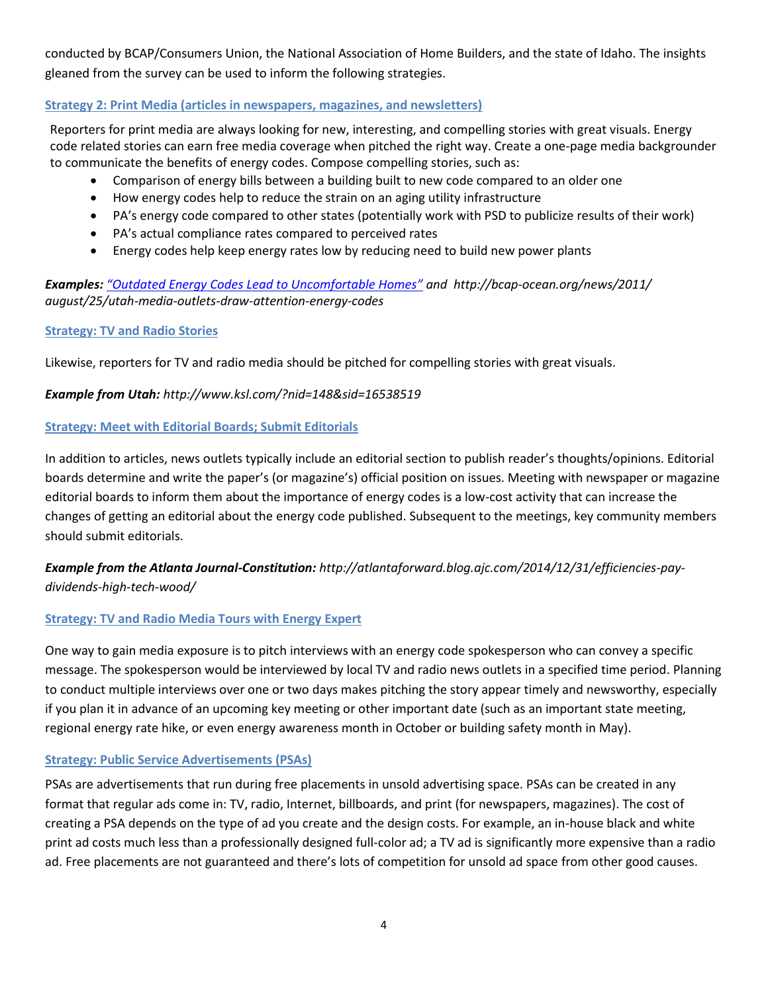conducted by BCAP/Consumers Union, the National Association of Home Builders, and the state of Idaho. The insights gleaned from the survey can be used to inform the following strategies.

# **Strategy 2: Print Media (articles in newspapers, magazines, and newsletters)**

Reporters for print media are always looking for new, interesting, and compelling stories with great visuals. Energy code related stories can earn free media coverage when pitched the right way. Create a one-page media backgrounder to communicate the benefits of energy codes. Compose compelling stories, such as:

- Comparison of energy bills between a building built to new code compared to an older one
- How energy codes help to reduce the strain on an aging utility infrastructure
- PA's energy code compared to other states (potentially work with PSD to publicize results of their work)
- PA's actual compliance rates compared to perceived rates
- Energy codes help keep energy rates low by reducing need to build new power plants

# *Examples: ["Outdated Energy Codes Lead to Uncomfortable Homes"](http://www.ksl.com/index.php?nid=148&sid=14492845) and http://bcap-ocean.org/news/2011/ august/25/utah-media-outlets-draw-attention-energy-codes*

## **Strategy: TV and Radio Stories**

Likewise, reporters for TV and radio media should be pitched for compelling stories with great visuals.

# *Example from Utah: http://www.ksl.com/?nid=148&sid=16538519*

## **Strategy: Meet with Editorial Boards; Submit Editorials**

In addition to articles, news outlets typically include an editorial section to publish reader's thoughts/opinions. Editorial boards determine and write the paper's (or magazine's) official position on issues. Meeting with newspaper or magazine editorial boards to inform them about the importance of energy codes is a low-cost activity that can increase the changes of getting an editorial about the energy code published. Subsequent to the meetings, key community members should submit editorials.

# *Example from the Atlanta Journal-Constitution: http://atlantaforward.blog.ajc.com/2014/12/31/efficiencies-paydividends-high-tech-wood/*

## **Strategy: TV and Radio Media Tours with Energy Expert**

One way to gain media exposure is to pitch interviews with an energy code spokesperson who can convey a specific message. The spokesperson would be interviewed by local TV and radio news outlets in a specified time period. Planning to conduct multiple interviews over one or two days makes pitching the story appear timely and newsworthy, especially if you plan it in advance of an upcoming key meeting or other important date (such as an important state meeting, regional energy rate hike, or even energy awareness month in October or building safety month in May).

## **Strategy: Public Service Advertisements (PSAs)**

PSAs are advertisements that run during free placements in unsold advertising space. PSAs can be created in any format that regular ads come in: TV, radio, Internet, billboards, and print (for newspapers, magazines). The cost of creating a PSA depends on the type of ad you create and the design costs. For example, an in-house black and white print ad costs much less than a professionally designed full-color ad; a TV ad is significantly more expensive than a radio ad. Free placements are not guaranteed and there's lots of competition for unsold ad space from other good causes.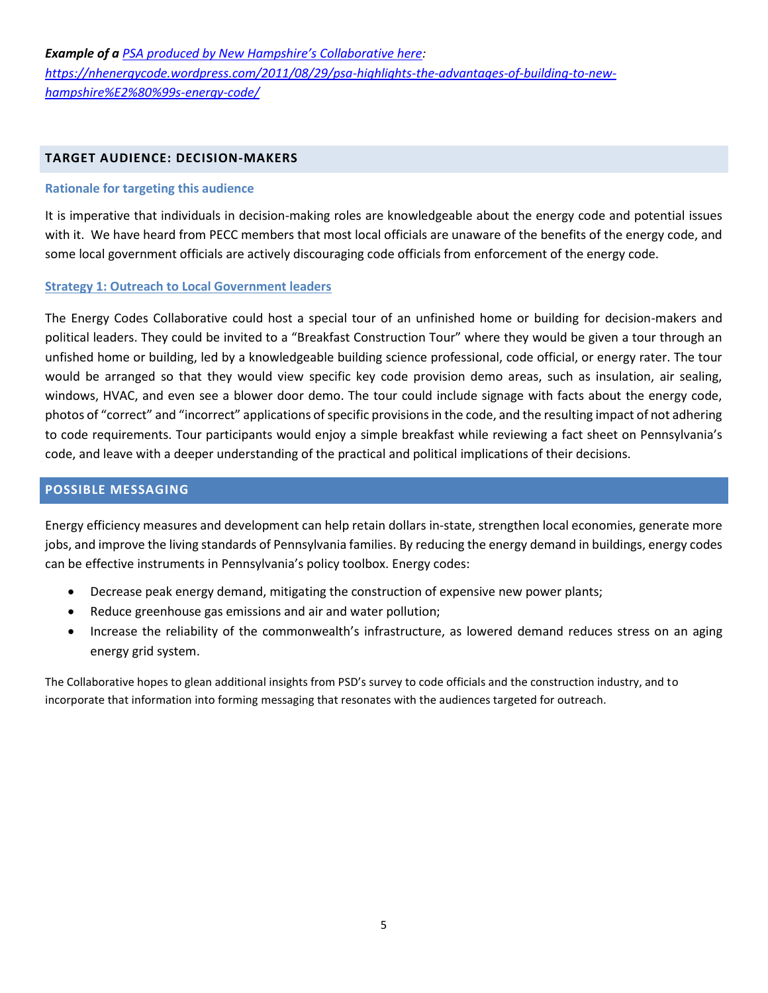#### **TARGET AUDIENCE: DECISION-MAKERS**

#### **Rationale for targeting this audience**

It is imperative that individuals in decision-making roles are knowledgeable about the energy code and potential issues with it. We have heard from PECC members that most local officials are unaware of the benefits of the energy code, and some local government officials are actively discouraging code officials from enforcement of the energy code.

#### **Strategy 1: Outreach to Local Government leaders**

The Energy Codes Collaborative could host a special tour of an unfinished home or building for decision-makers and political leaders. They could be invited to a "Breakfast Construction Tour" where they would be given a tour through an unfished home or building, led by a knowledgeable building science professional, code official, or energy rater. The tour would be arranged so that they would view specific key code provision demo areas, such as insulation, air sealing, windows, HVAC, and even see a blower door demo. The tour could include signage with facts about the energy code, photos of "correct" and "incorrect" applications of specific provisions in the code, and the resulting impact of not adhering to code requirements. Tour participants would enjoy a simple breakfast while reviewing a fact sheet on Pennsylvania's code, and leave with a deeper understanding of the practical and political implications of their decisions.

## **POSSIBLE MESSAGING**

Energy efficiency measures and development can help retain dollars in-state, strengthen local economies, generate more jobs, and improve the living standards of Pennsylvania families. By reducing the energy demand in buildings, energy codes can be effective instruments in Pennsylvania's policy toolbox. Energy codes:

- Decrease peak energy demand, mitigating the construction of expensive new power plants;
- Reduce greenhouse gas emissions and air and water pollution;
- Increase the reliability of the commonwealth's infrastructure, as lowered demand reduces stress on an aging energy grid system.

The Collaborative hopes to glean additional insights from PSD's survey to code officials and the construction industry, and to incorporate that information into forming messaging that resonates with the audiences targeted for outreach.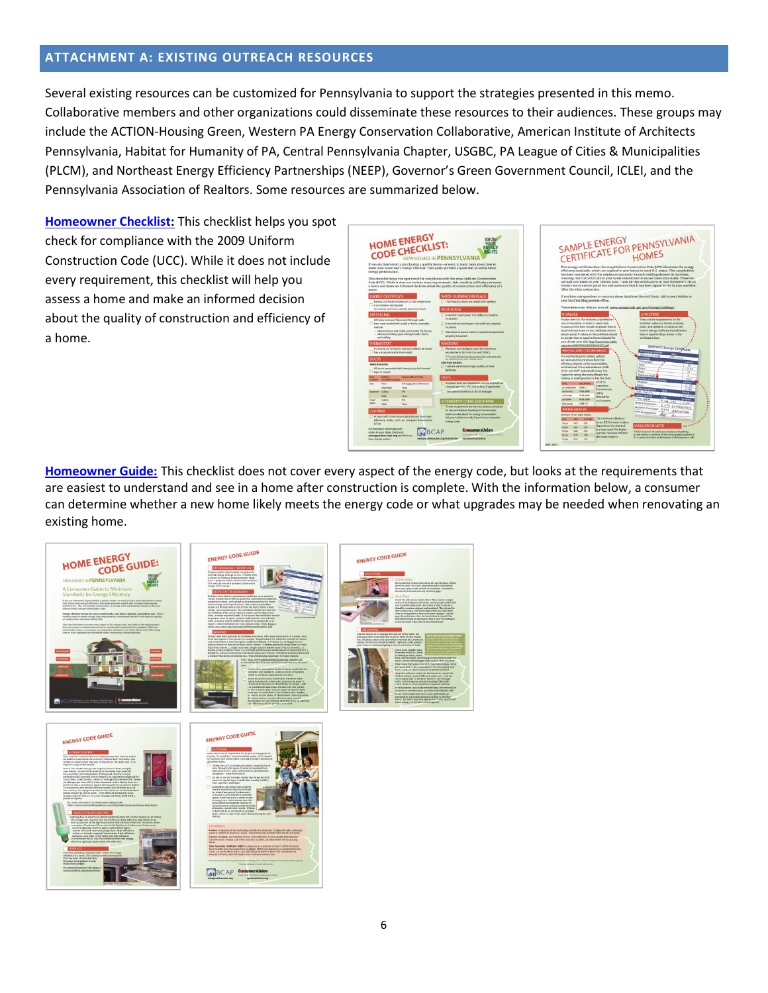# **ATTACHMENT A: EXISTING OUTREACH RESOURCES**

Several existing resources can be customized for Pennsylvania to support the strategies presented in this memo. Collaborative members and other organizations could disseminate these resources to their audiences. These groups may include the ACTION-Housing Green, Western PA Energy Conservation Collaborative, American Institute of Architects Pennsylvania, Habitat for Humanity of PA, Central Pennsylvania Chapter, USGBC, PA League of Cities & Municipalities (PLCM), and Northeast Energy Efficiency Partnerships (NEEP), Governor's Green Government Council, ICLEI, and the Pennsylvania Association of Realtors. Some resources are summarized below.

**[Homeowner Checklist:](http://energycodesocean.org/resource/consumer-energy-code-checklist-pennsylvania)** This checklist helps you spot check for compliance with the 2009 Uniform Construction Code (UCC). While it does not include every requirement, this checklist will help you assess a home and make an informed decision about the quality of construction and efficiency of a home.



**[Homeowner Guide:](http://energycodesocean.org/sites/default/files/resources/Consumer%20Long%20Guide%20Pennsylvania.pdf)** This checklist does not cover every aspect of the energy code, but looks at the requirements that are easiest to understand and see in a home after construction is complete. With the information below, a consumer can determine whether a new home likely meets the energy code or what upgrades may be needed when renovating an existing home.